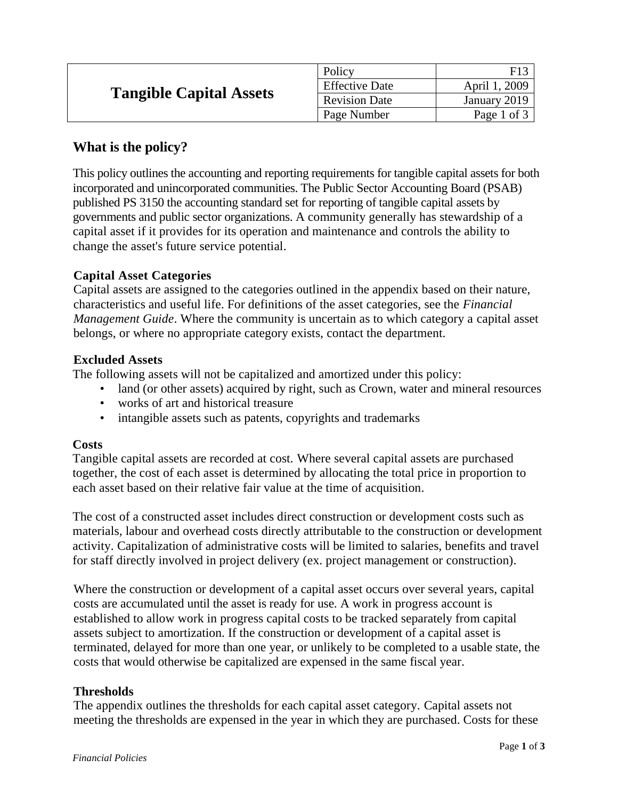| <b>Tangible Capital Assets</b> | Policy                |               |
|--------------------------------|-----------------------|---------------|
|                                | <b>Effective Date</b> | April 1, 2009 |
|                                | <b>Revision Date</b>  | January 2019  |
|                                | Page Number           | Page 1 of 3   |

# **What is the policy?**

This policy outlines the accounting and reporting requirements for tangible capital assets for both incorporated and unincorporated communities. The Public Sector Accounting Board (PSAB) published PS 3150 the accounting standard set for reporting of tangible capital assets by governments and public sector organizations. A community generally has stewardship of a capital asset if it provides for its operation and maintenance and controls the ability to change the asset's future service potential.

## **Capital Asset Categories**

Capital assets are assigned to the categories outlined in the appendix based on their nature, characteristics and useful life. For definitions of the asset categories, see the *Financial Management Guide*. Where the community is uncertain as to which category a capital asset belongs, or where no appropriate category exists, contact the department.

### **Excluded Assets**

The following assets will not be capitalized and amortized under this policy:

- land (or other assets) acquired by right, such as Crown, water and mineral resources
- works of art and historical treasure
- intangible assets such as patents, copyrights and trademarks

#### **Costs**

Tangible capital assets are recorded at cost. Where several capital assets are purchased together, the cost of each asset is determined by allocating the total price in proportion to each asset based on their relative fair value at the time of acquisition.

The cost of a constructed asset includes direct construction or development costs such as materials, labour and overhead costs directly attributable to the construction or development activity. Capitalization of administrative costs will be limited to salaries, benefits and travel for staff directly involved in project delivery (ex. project management or construction).

Where the construction or development of a capital asset occurs over several years, capital costs are accumulated until the asset is ready for use. A work in progress account is established to allow work in progress capital costs to be tracked separately from capital assets subject to amortization. If the construction or development of a capital asset is terminated, delayed for more than one year, or unlikely to be completed to a usable state, the costs that would otherwise be capitalized are expensed in the same fiscal year.

### **Thresholds**

The appendix outlines the thresholds for each capital asset category. Capital assets not meeting the thresholds are expensed in the year in which they are purchased. Costs for these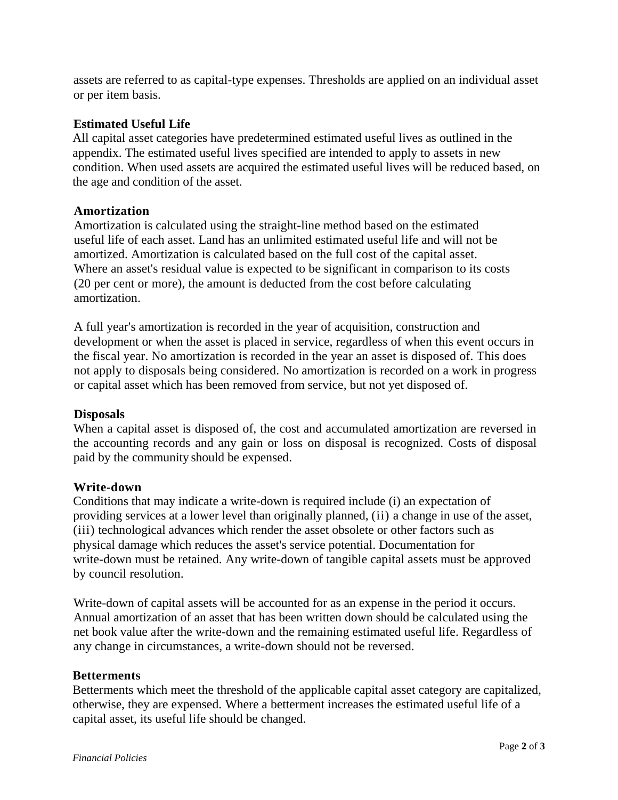assets are referred to as capital-type expenses. Thresholds are applied on an individual asset or per item basis.

### **Estimated Useful Life**

All capital asset categories have predetermined estimated useful lives as outlined in the appendix. The estimated useful lives specified are intended to apply to assets in new condition. When used assets are acquired the estimated useful lives will be reduced based, on the age and condition of the asset.

#### **Amortization**

Amortization is calculated using the straight-line method based on the estimated useful life of each asset. Land has an unlimited estimated useful life and will not be amortized. Amortization is calculated based on the full cost of the capital asset. Where an asset's residual value is expected to be significant in comparison to its costs (20 per cent or more), the amount is deducted from the cost before calculating amortization.

A full year's amortization is recorded in the year of acquisition, construction and development or when the asset is placed in service, regardless of when this event occurs in the fiscal year. No amortization is recorded in the year an asset is disposed of. This does not apply to disposals being considered. No amortization is recorded on a work in progress or capital asset which has been removed from service, but not yet disposed of.

#### **Disposals**

When a capital asset is disposed of, the cost and accumulated amortization are reversed in the accounting records and any gain or loss on disposal is recognized. Costs of disposal paid by the community should be expensed.

#### **Write-down**

Conditions that may indicate a write-down is required include (i) an expectation of providing services at a lower level than originally planned, (ii) a change in use of the asset, (iii) technological advances which render the asset obsolete or other factors such as physical damage which reduces the asset's service potential. Documentation for write-down must be retained. Any write-down of tangible capital assets must be approved by council resolution.

Write-down of capital assets will be accounted for as an expense in the period it occurs. Annual amortization of an asset that has been written down should be calculated using the net book value after the write-down and the remaining estimated useful life. Regardless of any change in circumstances, a write-down should not be reversed.

#### **Betterments**

Betterments which meet the threshold of the applicable capital asset category are capitalized, otherwise, they are expensed. Where a betterment increases the estimated useful life of a capital asset, its useful life should be changed.